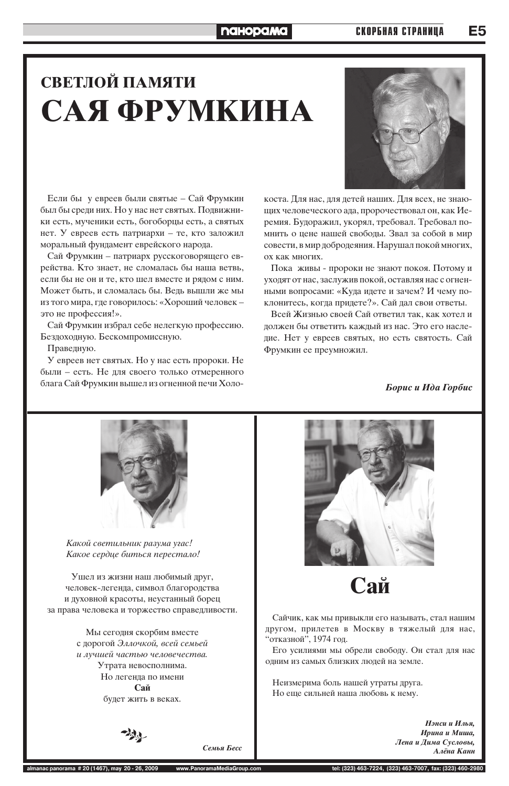#### **naHopaMa**

Е5

## СВЕТЛОЙ ПАМЯТИ САЯ ФРУМКИНА

Если бы у евреев были святые - Сай Фрумкин был бы среди них. Но у нас нет святых. Подвижники есть, мученики есть, богоборцы есть, а святых нет. У евреев есть патриархи - те, кто заложил моральный фундамент еврейского народа.

Сай Фрумкин - патриарх русскоговорящего еврейства. Кто знает, не сломалась бы наша ветвь, если бы не он и те, кто шел вместе и рядом с ним. Может быть, и сломалась бы. Ведь вышли же мы из того мира, где говорилось: «Хороший человек это не профессия!».

Сай Фрумкин избрал себе нелегкую профессию. Бездоходную. Бескомпромиссную.

Праведную.

У евреев нет святых. Но у нас есть пророки. Не были – есть. Не для своего только отмеренного блага Сай Фрумкин вышел из огненной печи Холо-



коста. Для нас, для детей наших. Для всех, не знающих человеческого ада, пророчествовал он, как Иеремия. Будоражил, укорял, требовал. Требовал помнить о цене нашей свободы. Звал за собой в мир совести, в мир добродеяния. Нарушал покой многих, ох как многих.

Пока живы - пророки не знают покоя. Потому и уходят от нас, заслужив покой, оставляя нас с огненными вопросами: «Куда идете и зачем? И чему поклонитесь, когда придете?». Сай дал свои ответы.

Всей Жизнью своей Сай ответил так, как хотел и должен бы ответить каждый из нас. Это его наследие. Нет у евреев святых, но есть святость. Сай Фрумкин ее преумножил.

Борис и Ида Горбис



Какой светильник разума угас! Какое сердце биться перестало!

Ушел из жизни наш любимый друг,



человек-легенда, символ благородства и духовной красоты, неустанный борец за права человека и торжество справедливости.

> Мы сегодня скорбим вместе с дорогой Эллочкой, всей семьей и лучшей частью человечества. Утрата невосполнима. Но легенда по имени Сай будет жить в веках.

Сайчик, как мы привыкли его называть, стал нашим другом, прилетев в Москву в тяжелый для нас, "отказной", 1974 год. Его усилиями мы обрели свободу. Он стал для нас одним из самых близких людей на земле.

Неизмерима боль нашей утраты друга. Но еще сильней наша любовь к нему.

> Нэнси и Илья, Ирина и Миша, Лена и Дима Сусловы, Алёна Канн

www.PanoramaMediaGroup.com almanac panorama # 20 (1467), may 20 - 26, 2009

Семья Бесс

tel: (323) 463-7224, (323) 463-7007, fax: (323) 460-2980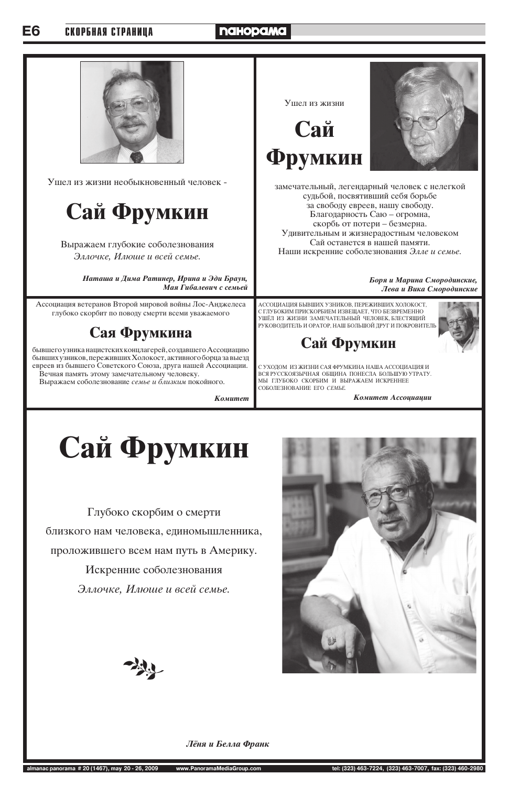#### E6 СКОРБНАЯ СТРАНИЦА

### **naHopaMa**



Ушел из жизни необыкновенный человек -



Выражаем глубокие соболезнования Эллочке, Илюше и всей семье.

> Наташа и Дима Ратинер, Ирина и Эди Браун, Мая Гибалевич с семьей

Ассоциация ветеранов Второй мировой войны Лос-Анджелеса глубоко скорбит по поводу смерти всеми уважаемого

### Сая Фрумкина

бывшего узника нацистских концлагерей, создавшего Ассоциацию бывших узников, переживших Холокост, активного борца за выезд евреев из бывшего Советского Союза, друга нашей Ассоциации. Вечная память этому замечательному человеку.

Выражаем соболезнование семье и близким покойного.

**Комитет** 

### Ушел из жизни Сай Фрумкин



замечательный, легендарный человек с нелегкой судьбой, посвятивший себя борьбе за свободу евреев, нашу свободу. Благодарность Саю - огромна, скорбь от потери – безмерна. Удивительным и жизнерадостным человеком Сай останется в нашей памяти. Наши искренние соболезнования Элле и семье.

> Боря и Марина Смородинские, Лева и Вика Смородинские

АССОЦИАЦИЯ БЫВШИХ УЗНИКОВ, ПЕРЕЖИВШИХ ХОЛОКОСТ, С ГЛУБОКИМ ПРИСКОРБИЕМ ИЗВЕЩАЕТ, ЧТО БЕЗВРЕМЕННО УШЁЛ ИЗ ЖИЗНИ ЗАМЕЧАТЕЛЬНЫЙ ЧЕЛОВЕК, БЛЕСТЯЩИЙ РУКОВОДИТЕЛЬ И ОРАТОР, НАШ БОЛЬШОЙ ДРУГ И ПОКРОВИТЕЛЬ

Сай Фрумкин

С УХОДОМ ИЗ ЖИЗНИ САЯ ФРУМКИНА НАША АССОЦИАЦИЯ И ВСЯ РУССКОЯЗЫЧНАЯ ОБЩИНА ПОНЕСЛА БОЛЬШУЮ УТРАТУ. МЫ ГЛУБОКО СКОРБИМ И ВЫРАЖАЕМ ИСКРЕННЕЕ СОБОЛЕЗНОВАНИЕ ЕГО СЕМЬЕ.

Комитет Ассоциации

## Сай Фрумкин

Глубоко скорбим о смерти близкого нам человека, единомышленника, проложившего всем нам путь в Америку.

Искренние соболезнования



Эллочке, Илюше и всей семье.



#### Лёня и Белла Франк

almanac panorama # 20 (1467), may 20 - 26, 2009 www.PanoramaMediaGroup.com tel: (323) 463-7224, (323) 463-7007, fax: (323) 460-2980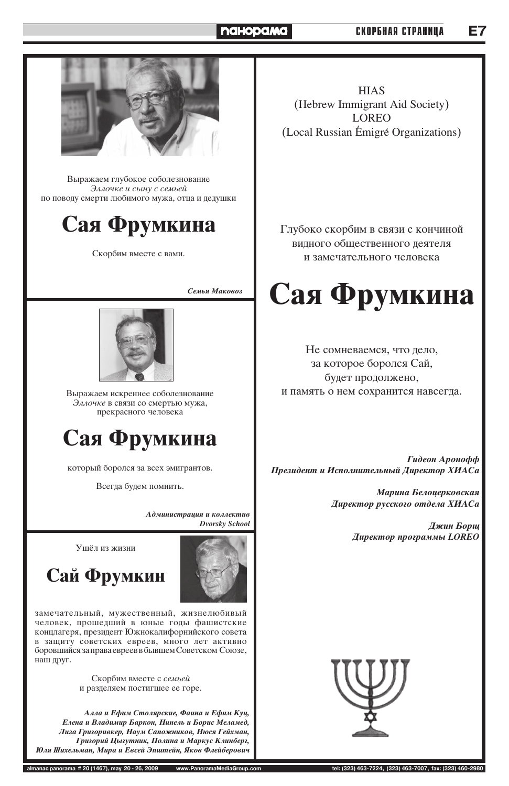### Сай Фрумки

замечательный, мужественный, жизнелюбивый человек, прошедший в юные годы фашистские концлагеря, президент Южнокалифорнийского совета в защиту советских евреев, много лет активно боровшийся за права евреев в бывшем Советском Союзе, наш друг.

> Скорбим вместе с семьей и разделяем постигшее ее горе.

Алла и Ефим Столярские, Фаина и Ефим Куц, **Елена и Владимир Баркон, Нинель и Борис Меламед,** Лиза Григоривкер, Наум Сапожников, Нюся Гейхман, Григорий Цыгутник, Полина и Маркус Клинберг, Юля Шихельман, Мира и Евсей Эпштейн, Яков Флейберович



**almanac panorama # 20 (1467), may 20 - 26, 2009 www.PanoramaMediaGroup.com tel: (323) 463-7224, (323) 463-7007, fax: (323) 460-2980**

#### **naHopama**

#### **СКОРБНАЯ СТРАНИЦА**



Выражаем глубокое соболезнование Эллочке и сыну с семьей по поводу смерти любимого мужа, отца и дедушки

### Сая Фрумкина

Скорбим вместе с вами.

**Семья Маковоз** 



Выражаем искреннее соболезнование Эллочке в связи со смертью мужа, прекрасного человека

> $A$ дминистрация и коллектив *Dvorsky School*

Ушёл из жизни



**HIAS** (Hebrew Immigrant Aid Society) LOREO (Local Russian Émigré Organizations)

Глубоко скорбим в связи с кончиной видного общественного деятеля и замечательного человека

![](_page_2_Picture_9.jpeg)

который боролся за всех эмигрантов.

Всегда будем помнить.

![](_page_2_Picture_17.jpeg)

Не сомневаемся, что дело, за которое боролся Сай, будет продолжено, и память о нем сохранится навсегда.

*Гидеон Аронофф Президент и Исполнительный Директор ХИАСа* 

> Марина Белоцерковская **Директор русского отдела ХИАСа**

> > **Джин Борщ Директор программы LOREO**